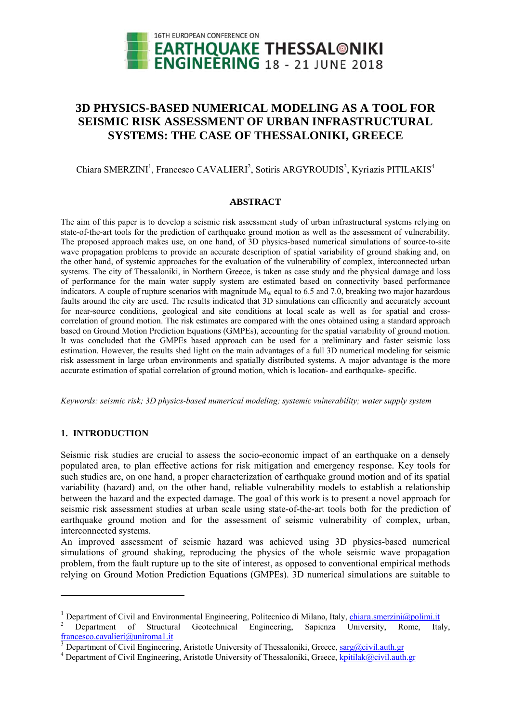

# 3D PHYSICS-BASED NUMERICAL MODELING AS A TOOL FOR SEISMIC RISK ASSESSMENT OF URBAN INFRASTRUCTURAL **SYSTEMS: THE CASE OF THESSALONIKI, GREECE**

## Chiara SMERZINI<sup>1</sup>, Francesco CAVALIERI<sup>2</sup>, Sotiris ARGYROUDIS<sup>3</sup>, Kyriazis PITILAKIS<sup>4</sup>

#### **ABSTRACT**

The aim of this paper is to develop a seismic risk assessment study of urban infrastructural systems relying on state-of-the-art tools for the prediction of earthquake ground motion as well as the assessment of vulnerability. The proposed approach makes use, on one hand, of 3D physics-based numerical simulations of source-to-site wave propagation problems to provide an accurate description of spatial variability of ground shaking and, on the other hand, of systemic approaches for the evaluation of the vulnerability of complex, interconnected urban systems. The city of Thessaloniki, in Northern Greece, is taken as case study and the physical damage and loss of performance for the main water supply system are estimated based on connectivity based performance indicators. A couple of rupture scenarios with magnitude  $M_w$  equal to 6.5 and 7.0, breaking two major hazardous faults around the city are used. The results indicated that 3D simulations can efficiently and accurately account for near-source conditions, geological and site conditions at local scale as well as for spatial and crosscorrelation of ground motion. The risk estimates are compared with the ones obtained using a standard approach based on Ground Motion Prediction Equations (GMPEs), accounting for the spatial variability of ground motion. It was concluded that the GMPEs based approach can be used for a preliminary and faster seismic loss estimation. However, the results shed light on the main advantages of a full 3D numerical modeling for seismic risk assessment in large urban environments and spatially distributed systems. A major advantage is the more accurate estimation of spatial correlation of ground motion, which is location- and earthquake- specific.

Keywords: seismic risk; 3D physics-based numerical modeling; systemic vulnerability; water supply system

## 1. INTRODUCTION

Seismic risk studies are crucial to assess the socio-economic impact of an earthquake on a densely populated area, to plan effective actions for risk mitigation and emergency response. Key tools for such studies are, on one hand, a proper characterization of earthquake ground motion and of its spatial variability (hazard) and, on the other hand, reliable vulnerability models to establish a relationship between the hazard and the expected damage. The goal of this work is to present a novel approach for seismic risk assessment studies at urban scale using state-of-the-art tools both for the prediction of earthquake ground motion and for the assessment of seismic vulnerability of complex, urban, interconnected systems.

An improved assessment of seismic hazard was achieved using 3D physics-based numerical simulations of ground shaking, reproducing the physics of the whole seismic wave propagation problem, from the fault rupture up to the site of interest, as opposed to conventional empirical methods relying on Ground Motion Prediction Equations (GMPEs). 3D numerical simulations are suitable to

<sup>&</sup>lt;sup>1</sup> Department of Civil and Environmental Engineering, Politecnico di Milano, Italy, *chiara.smerzini@polimi.it* 

<sup>&</sup>lt;sup>2</sup> Department of Structural Geotechnical Engineering, Sapienza University, Rome. Italy. francesco.cavalieri@uniroma1.it

Department of Civil Engineering, Aristotle University of Thessaloniki, Greece, sarg@civil.auth.gr

<sup>&</sup>lt;sup>4</sup> Department of Civil Engineering, Aristotle University of Thessaloniki, Greece, kpitilak@civil.auth.gr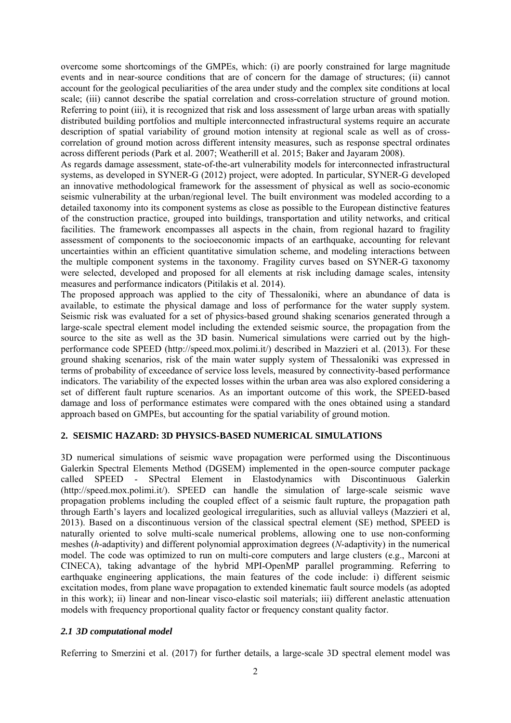overcome some shortcomings of the GMPEs, which: (i) are poorly constrained for large magnitude events and in near-source conditions that are of concern for the damage of structures; (ii) cannot account for the geological peculiarities of the area under study and the complex site conditions at local scale; (iii) cannot describe the spatial correlation and cross-correlation structure of ground motion. Referring to point (iii), it is recognized that risk and loss assessment of large urban areas with spatially distributed building portfolios and multiple interconnected infrastructural systems require an accurate description of spatial variability of ground motion intensity at regional scale as well as of crosscorrelation of ground motion across different intensity measures, such as response spectral ordinates across different periods (Park et al. 2007; Weatherill et al. 2015; Baker and Jayaram 2008).

As regards damage assessment, state-of-the-art vulnerability models for interconnected infrastructural systems, as developed in SYNER-G (2012) project, were adopted. In particular, SYNER-G developed an innovative methodological framework for the assessment of physical as well as socio-economic seismic vulnerability at the urban/regional level. The built environment was modeled according to a detailed taxonomy into its component systems as close as possible to the European distinctive features of the construction practice, grouped into buildings, transportation and utility networks, and critical facilities. The framework encompasses all aspects in the chain, from regional hazard to fragility assessment of components to the socioeconomic impacts of an earthquake, accounting for relevant uncertainties within an efficient quantitative simulation scheme, and modeling interactions between the multiple component systems in the taxonomy. Fragility curves based on SYNER-G taxonomy were selected, developed and proposed for all elements at risk including damage scales, intensity measures and performance indicators (Pitilakis et al. 2014).

The proposed approach was applied to the city of Thessaloniki, where an abundance of data is available, to estimate the physical damage and loss of performance for the water supply system. Seismic risk was evaluated for a set of physics-based ground shaking scenarios generated through a large-scale spectral element model including the extended seismic source, the propagation from the source to the site as well as the 3D basin. Numerical simulations were carried out by the highperformance code SPEED (http://speed.mox.polimi.it/) described in Mazzieri et al. (2013). For these ground shaking scenarios, risk of the main water supply system of Thessaloniki was expressed in terms of probability of exceedance of service loss levels, measured by connectivity-based performance indicators. The variability of the expected losses within the urban area was also explored considering a set of different fault rupture scenarios. As an important outcome of this work, the SPEED-based damage and loss of performance estimates were compared with the ones obtained using a standard approach based on GMPEs, but accounting for the spatial variability of ground motion.

## **2. SEISMIC HAZARD: 3D PHYSICS-BASED NUMERICAL SIMULATIONS**

3D numerical simulations of seismic wave propagation were performed using the Discontinuous Galerkin Spectral Elements Method (DGSEM) implemented in the open-source computer package called SPEED - SPectral Element in Elastodynamics with Discontinuous Galerkin (http://speed.mox.polimi.it/). SPEED can handle the simulation of large-scale seismic wave propagation problems including the coupled effect of a seismic fault rupture, the propagation path through Earth's layers and localized geological irregularities, such as alluvial valleys (Mazzieri et al, 2013). Based on a discontinuous version of the classical spectral element (SE) method, SPEED is naturally oriented to solve multi-scale numerical problems, allowing one to use non-conforming meshes (*h*-adaptivity) and different polynomial approximation degrees (*N*-adaptivity) in the numerical model. The code was optimized to run on multi-core computers and large clusters (e.g., Marconi at CINECA), taking advantage of the hybrid MPI-OpenMP parallel programming. Referring to earthquake engineering applications, the main features of the code include: i) different seismic excitation modes, from plane wave propagation to extended kinematic fault source models (as adopted in this work); ii) linear and non-linear visco-elastic soil materials; iii) different anelastic attenuation models with frequency proportional quality factor or frequency constant quality factor.

## *2.1 3D computational model*

Referring to Smerzini et al. (2017) for further details, a large-scale 3D spectral element model was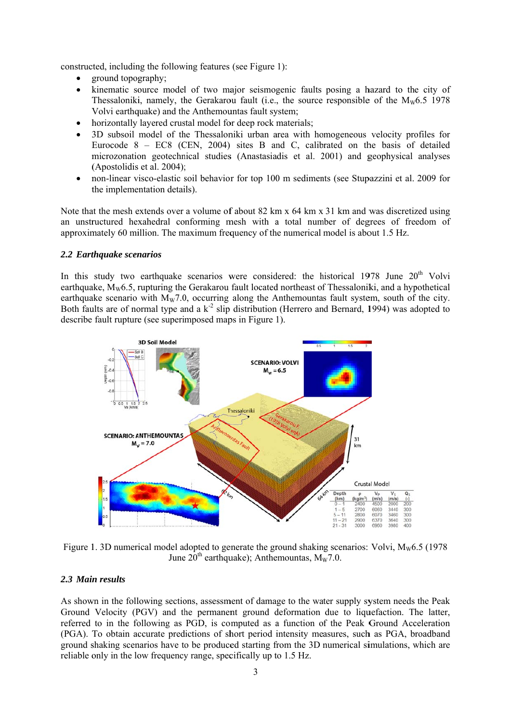constructed, including the following features (see Figure 1):

- ground topography;
- kinematic source model of two major seismogenic faults posing a hazard to the city of  $\bullet$ Thessaloniki, namely, the Gerakarou fault (i.e., the source responsible of the  $M_{w6.5}$  1978 Volvi earthquake) and the Anthemountas fault system;
- horizontally layered crustal model for deep rock materials;
- 3D subsoil model of the Thessaloniki urban area with homogeneous velocity profiles for Eurocode  $8 - EC8$  (CEN, 2004) sites B and C, calibrated on the basis of detailed microzonation geotechnical studies (Anastasiadis et al. 2001) and geophysical analyses (Apostolidis et al. 2004);
- non-linear visco-elastic soil behavior for top 100 m sediments (see Stupazzini et al. 2009 for  $\bullet$ the implementation details).

Note that the mesh extends over a volume of about 82 km x 64 km x 31 km and was discretized using an unstructured hexahedral conforming mesh with a total number of degrees of freedom of approximately 60 million. The maximum frequency of the numerical model is about 1.5 Hz.

## 2.2 Earthauake scenarios

In this study two earthquake scenarios were considered: the historical 1978 June 20<sup>th</sup> Volvi earthquake,  $M_w 6.5$ , rupturing the Gerakarou fault located northeast of Thessaloniki, and a hypothetical earthquake scenario with  $M_w$ 7.0, occurring along the Anthemountas fault system, south of the city. Both faults are of normal type and a  $k^2$  slip distribution (Herrero and Bernard, 1994) was adopted to describe fault rupture (see superimposed maps in Figure 1).



Figure 1. 3D numerical model adopted to generate the ground shaking scenarios: Volvi,  $M_{\rm w}$ 6.5 (1978) June  $20^{th}$  earthquake); Anthemountas,  $M_w$ 7.0.

## 2.3 Main results

As shown in the following sections, assessment of damage to the water supply system needs the Peak Ground Velocity (PGV) and the permanent ground deformation due to liquefaction. The latter, referred to in the following as PGD, is computed as a function of the Peak Ground Acceleration (PGA). To obtain accurate predictions of short period intensity measures, such as PGA, broadband ground shaking scenarios have to be produced starting from the 3D numerical simulations, which are reliable only in the low frequency range, specifically up to 1.5 Hz.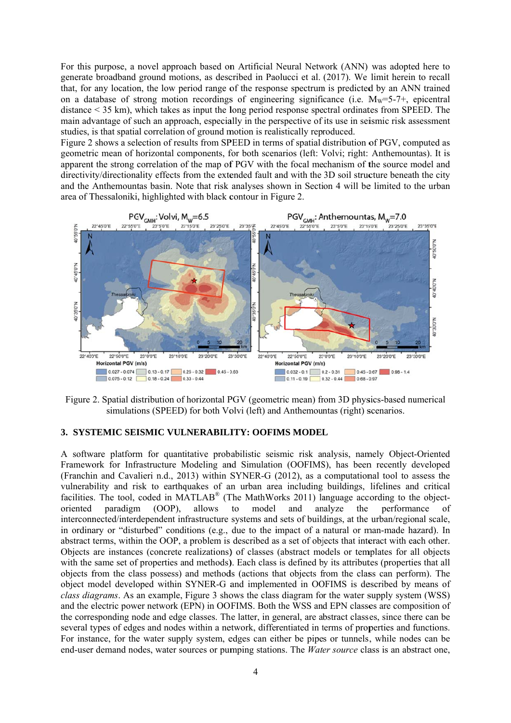For this purpose, a novel approach based on Artificial Neural Network (ANN) was adopted here to generate broadband ground motions, as described in Paolucci et al. (2017). We limit herein to recall that, for any location, the low period range of the response spectrum is predicted by an ANN trained on a database of strong motion recordings of engineering significance (i.e.  $M_w = 5-7$ +, epicentral distance  $\leq$  35 km), which takes as input the long period response spectral ordinates from SPEED. The main advantage of such an approach, especially in the perspective of its use in seismic risk assessment studies, is that spatial correlation of ground motion is realistically reproduced.

Figure 2 shows a selection of results from SPEED in terms of spatial distribution of PGV, computed as geometric mean of horizontal components, for both scenarios (left: Volvi; right: Anthemountas). It is apparent the strong correlation of the map of PGV with the focal mechanism of the source model and directivity/directionality effects from the extended fault and with the 3D soil structure beneath the city and the Anthemountas basin. Note that risk analyses shown in Section 4 will be limited to the urban area of Thessaloniki, highlighted with black contour in Figure 2.



Figure 2. Spatial distribution of horizontal PGV (geometric mean) from 3D physics-based numerical simulations (SPEED) for both Volvi (left) and Anthemountas (right) scenarios.

#### 3. SYSTEMIC SEISMIC VULNERABILITY: OOFIMS MODEL

A software platform for quantitative probabilistic seismic risk analysis, namely Object-Oriented Framework for Infrastructure Modeling and Simulation (OOFIMS), has been recently developed (Franchin and Cavalieri n.d., 2013) within SYNER-G (2012), as a computational tool to assess the vulnerability and risk to earthquakes of an urban area including buildings, lifelines and critical facilities. The tool, coded in MATLAB<sup>®</sup> (The MathWorks 2011) language according to the objectoriented paradigm  $(OOP)$ . allows to model and analyze the performance  $\alpha$ f interconnected/interdependent infrastructure systems and sets of buildings, at the urban/regional scale, in ordinary or "disturbed" conditions (e.g., due to the impact of a natural or man-made hazard). In abstract terms, within the OOP, a problem is described as a set of objects that interact with each other. Objects are instances (concrete realizations) of classes (abstract models or templates for all objects with the same set of properties and methods). Each class is defined by its attributes (properties that all objects from the class possess) and methods (actions that objects from the class can perform). The object model developed within SYNER-G and implemented in OOFIMS is described by means of class diagrams. As an example, Figure 3 shows the class diagram for the water supply system (WSS) and the electric power network (EPN) in OOFIMS. Both the WSS and EPN classes are composition of the corresponding node and edge classes. The latter, in general, are abstract classes, since there can be several types of edges and nodes within a network, differentiated in terms of properties and functions. For instance, for the water supply system, edges can either be pipes or tunnels, while nodes can be end-user demand nodes, water sources or pumping stations. The *Water source* class is an abstract one,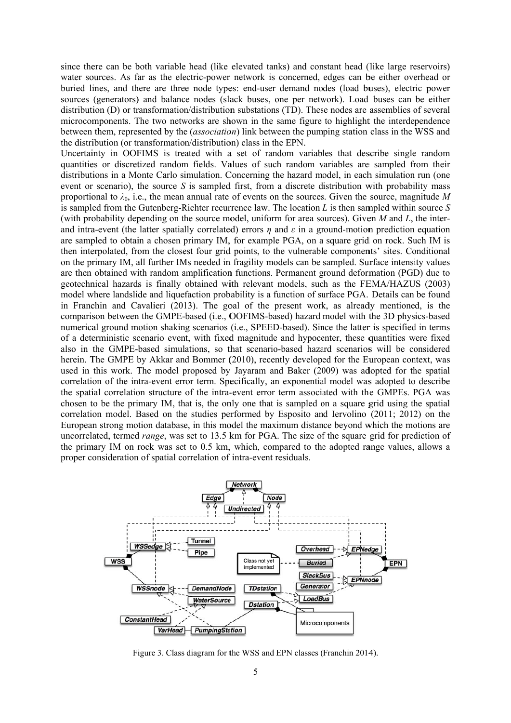since there can be both variable head (like elevated tanks) and constant head (like large reservoirs) water sources. As far as the electric-power network is concerned, edges can be either overhead or buried lines, and there are three node types: end-user demand nodes (load buses), electric power sources (generators) and balance nodes (slack buses, one per network). Load buses can be either distribution (D) or transformation/distribution substations (TD). These nodes are assemblies of several microcomponents. The two networks are shown in the same figure to highlight the interdependence between them, represented by the *(association)* link between the pumping station class in the WSS and the distribution (or transformation/distribution) class in the EPN.

Uncertainty in OOFIMS is treated with a set of random variables that describe single random quantities or discretized random fields. Values of such random variables are sampled from their distributions in a Monte Carlo simulation. Concerning the hazard model, in each simulation run (one event or scenario), the source  $S$  is sampled first, from a discrete distribution with probability mass proportional to  $\lambda_0$ , i.e., the mean annual rate of events on the sources. Given the source, magnitude M is sampled from the Gutenberg-Richter recurrence law. The location  $L$  is then sampled within source  $S$ (with probability depending on the source model, uniform for area sources). Given  $M$  and  $L$ , the interand intra-event (the latter spatially correlated) errors  $\eta$  and  $\varepsilon$  in a ground-motion prediction equation are sampled to obtain a chosen primary IM, for example PGA, on a square grid on rock. Such IM is then interpolated, from the closest four grid points, to the vulnerable components' sites. Conditional on the primary IM, all further IMs needed in fragility models can be sampled. Surface intensity values are then obtained with random amplification functions. Permanent ground deformation (PGD) due to geotechnical hazards is finally obtained with relevant models, such as the FEMA/HAZUS (2003) model where landslide and liquefaction probability is a function of surface PGA. Details can be found in Franchin and Cavalieri (2013). The goal of the present work, as already mentioned, is the comparison between the GMPE-based (i.e., OOFIMS-based) hazard model with the 3D physics-based numerical ground motion shaking scenarios (i.e., SPEED-based). Since the latter is specified in terms of a deterministic scenario event, with fixed magnitude and hypocenter, these quantities were fixed also in the GMPE-based simulations, so that scenario-based hazard scenarios will be considered herein. The GMPE by Akkar and Bommer (2010), recently developed for the European context, was used in this work. The model proposed by Jayaram and Baker (2009) was adopted for the spatial correlation of the intra-event error term. Specifically, an exponential model was adopted to describe the spatial correlation structure of the intra-event error term associated with the GMPEs. PGA was chosen to be the primary IM, that is, the only one that is sampled on a square grid using the spatial correlation model. Based on the studies performed by Esposito and Iervolino (2011; 2012) on the European strong motion database, in this model the maximum distance beyond which the motions are uncorrelated, termed *range*, was set to 13.5 km for PGA. The size of the square grid for prediction of the primary IM on rock was set to 0.5 km, which, compared to the adopted range values, allows a proper consideration of spatial correlation of intra-event residuals.



Figure 3. Class diagram for the WSS and EPN classes (Franchin 2014).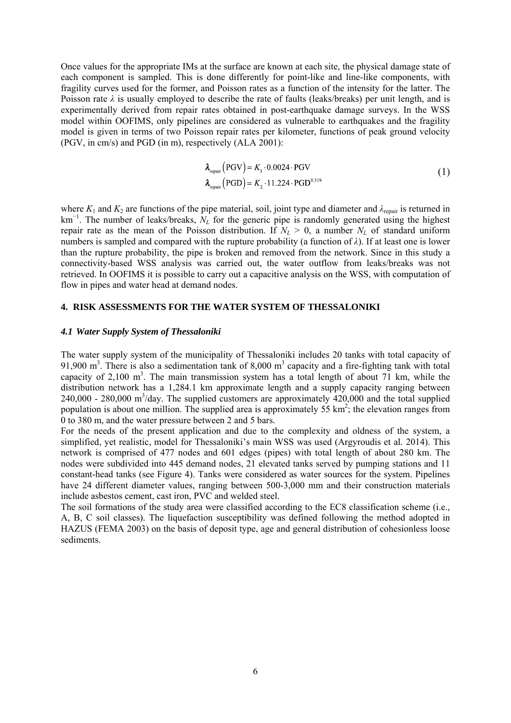Once values for the appropriate IMs at the surface are known at each site, the physical damage state of each component is sampled. This is done differently for point-like and line-like components, with fragility curves used for the former, and Poisson rates as a function of the intensity for the latter. The Poisson rate  $\lambda$  is usually employed to describe the rate of faults (leaks/breaks) per unit length, and is experimentally derived from repair rates obtained in post-earthquake damage surveys. In the WSS model within OOFIMS, only pipelines are considered as vulnerable to earthquakes and the fragility model is given in terms of two Poisson repair rates per kilometer, functions of peak ground velocity (PGV, in cm/s) and PGD (in m), respectively (ALA 2001):

$$
\lambda_{\text{repair}} \left( \text{PGV} \right) = K_1 \cdot 0.0024 \cdot \text{PGV}
$$
\n
$$
\lambda_{\text{repair}} \left( \text{PGD} \right) = K_2 \cdot 11.224 \cdot \text{PGD}^{0.319} \tag{1}
$$

where  $K_1$  and  $K_2$  are functions of the pipe material, soil, joint type and diameter and  $\lambda_{\text{repair}}$  is returned in km<sup>-1</sup>. The number of leaks/breaks,  $N_L$  for the generic pipe is randomly generated using the highest repair rate as the mean of the Poisson distribution. If  $N_L > 0$ , a number  $N_L$  of standard uniform numbers is sampled and compared with the rupture probability (a function of *λ*). If at least one is lower than the rupture probability, the pipe is broken and removed from the network. Since in this study a connectivity-based WSS analysis was carried out, the water outflow from leaks/breaks was not retrieved. In OOFIMS it is possible to carry out a capacitive analysis on the WSS, with computation of flow in pipes and water head at demand nodes.

## **4. RISK ASSESSMENTS FOR THE WATER SYSTEM OF THESSALONIKI**

#### *4.1 Water Supply System of Thessaloniki*

The water supply system of the municipality of Thessaloniki includes 20 tanks with total capacity of 91,900  $\text{m}^3$ . There is also a sedimentation tank of 8,000  $\text{m}^3$  capacity and a fire-fighting tank with total capacity of 2,100  $m<sup>3</sup>$ . The main transmission system has a total length of about 71 km, while the distribution network has a 1,284.1 km approximate length and a supply capacity ranging between 240,000 - 280,000 m<sup>3</sup>/day. The supplied customers are approximately 420,000 and the total supplied population is about one million. The supplied area is approximately  $55 \text{ km}^2$ ; the elevation ranges from 0 to 380 m, and the water pressure between 2 and 5 bars.

For the needs of the present application and due to the complexity and oldness of the system, a simplified, yet realistic, model for Thessaloniki's main WSS was used (Argyroudis et al. 2014). This network is comprised of 477 nodes and 601 edges (pipes) with total length of about 280 km. The nodes were subdivided into 445 demand nodes, 21 elevated tanks served by pumping stations and 11 constant-head tanks (see Figure 4). Tanks were considered as water sources for the system. Pipelines have 24 different diameter values, ranging between 500-3,000 mm and their construction materials include asbestos cement, cast iron, PVC and welded steel.

The soil formations of the study area were classified according to the EC8 classification scheme (i.e., A, B, C soil classes). The liquefaction susceptibility was defined following the method adopted in HAZUS (FEMA 2003) on the basis of deposit type, age and general distribution of cohesionless loose sediments.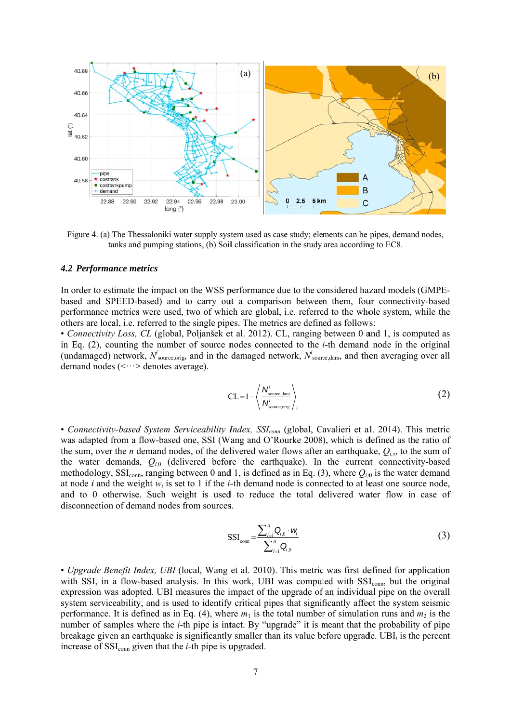

Figure 4. (a) The Thessaloniki water supply system used as case study; elements can be pipes, demand nodes, tanks and pumping stations, (b) Soil classification in the study area according to EC8.

#### 4.2 Performance metrics

In order to estimate the impact on the WSS performance due to the considered hazard models (GMPEbased and SPEED-based) and to carry out a comparison between them, four connectivity-based performance metrics were used, two of which are global, i.e. referred to the whole system, while the others are local, i.e. referred to the single pipes. The metrics are defined as follows:

• Connectivity Loss, CL (global, Poljanšek et al. 2012). CL, ranging between 0 and 1, is computed as in Eq.  $(2)$ , counting the number of source nodes connected to the *i*-th demand node in the original (undamaged) network,  $N_{\text{source,orig}}^i$  and in the damaged network,  $N_{\text{source,dam}}^i$ , and then averaging over all demand nodes  $(\langle \cdots \rangle)$  denotes average).

$$
CL = 1 - \left\langle \frac{N_{\text{source,dam}}^i}{N_{\text{source,orig}}^i} \right\rangle_i
$$
 (2)

• Connectivity-based System Serviceability Index, SSI<sub>conn</sub> (global, Cavalieri et al. 2014). This metric was adapted from a flow-based one, SSI (Wang and O'Rourke 2008), which is defined as the ratio of the sum, over the *n* demand nodes, of the delivered water flows after an earthquake,  $Q_{i,s}$ , to the sum of the water demands,  $Q_{i,0}$  (delivered before the earthquake). In the current connectivity-based methodology, SSI<sub>conn</sub>, ranging between 0 and 1, is defined as in Eq. (3), where  $Q_{i,0}$  is the water demand at node *i* and the weight  $w_i$  is set to 1 if the *i*-th demand node is connected to at least one source node, and to 0 otherwise. Such weight is used to reduce the total delivered water flow in case of disconnection of demand nodes from sources.

$$
SSI_{\text{conn}} = \frac{\sum_{i=1}^{n} Q_{i,0} \cdot w_i}{\sum_{i=1}^{n} Q_{i,0}}
$$
(3)

• Upgrade Benefit Index, UBI (local, Wang et al. 2010). This metric was first defined for application with SSI, in a flow-based analysis. In this work, UBI was computed with SSI<sub>conn</sub>, but the original expression was adopted. UBI measures the impact of the upgrade of an individual pipe on the overall system serviceability, and is used to identify critical pipes that significantly affect the system seismic performance. It is defined as in Eq. (4), where  $m_1$  is the total number of simulation runs and  $m_2$  is the number of samples where the *i*-th pipe is intact. By "upgrade" it is meant that the probability of pipe breakage given an earthquake is significantly smaller than its value before upgrade. UBI<sub>i</sub> is the percent increase of  $SSI_{conn}$  given that the *i*-th pipe is upgraded.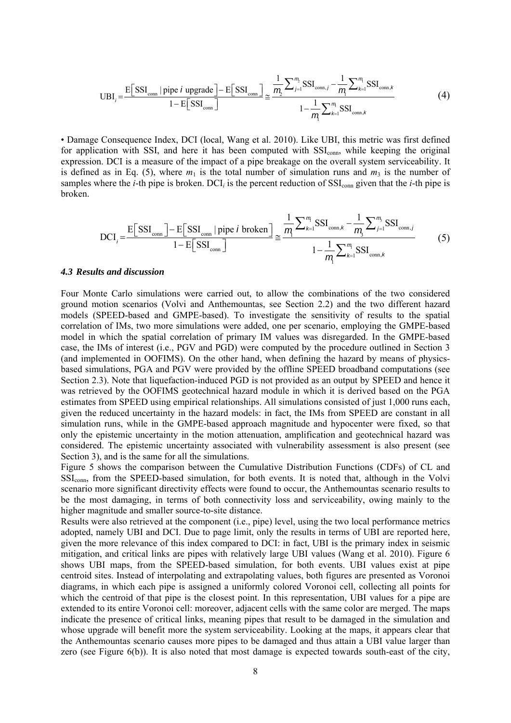$$
\text{UBI}_{i} = \frac{\text{E}\left[\text{SSI}_{\text{conn}} \mid \text{pipe } i \text{ upgrade}\right] - \text{E}\left[\text{SSI}_{\text{conn}}\right]}{1 - \text{E}\left[\text{SSI}_{\text{conn}}\right]} \approx \frac{\frac{1}{m_{i}} \sum_{j=1}^{m_{i}} \text{SSI}_{\text{conn},j} - \frac{1}{m_{i}} \sum_{k=1}^{m_{i}} \text{SSI}_{\text{conn},k}}{1 - \frac{1}{m_{i}} \sum_{k=1}^{m_{i}} \text{SSI}_{\text{conn},k}}
$$
(4)

• Damage Consequence Index, DCI (local, Wang et al. 2010). Like UBI, this metric was first defined for application with SSI, and here it has been computed with SSI<sub>conn</sub>, while keeping the original expression. DCI is a measure of the impact of a pipe breakage on the overall system serviceability. It is defined as in Eq. (5), where  $m_1$  is the total number of simulation runs and  $m_3$  is the number of samples where the *i*-th pipe is broken. DCI<sub>*i*</sub> is the percent reduction of  $SSI_{conn}$  given that the *i*-th pipe is broken.

$$
DCI_{i} = \frac{E[SSI_{\text{conn}}] - E[SSI_{\text{conn}} | \text{ pipe } i \text{ broken}]}{1 - E[SSI_{\text{conn}}]} \approx \frac{\frac{1}{m} \sum_{k=1}^{m} SSI_{\text{conn},k} - \frac{1}{m} \sum_{j=1}^{m} SSI_{\text{conn},j}}{1 - \frac{1}{m} \sum_{k=1}^{m} SSI_{\text{conn},k}}
$$
(5)

#### *4.3 Results and discussion*

Four Monte Carlo simulations were carried out, to allow the combinations of the two considered ground motion scenarios (Volvi and Anthemountas, see Section 2.2) and the two different hazard models (SPEED-based and GMPE-based). To investigate the sensitivity of results to the spatial correlation of IMs, two more simulations were added, one per scenario, employing the GMPE-based model in which the spatial correlation of primary IM values was disregarded. In the GMPE-based case, the IMs of interest (i.e., PGV and PGD) were computed by the procedure outlined in Section 3 (and implemented in OOFIMS). On the other hand, when defining the hazard by means of physicsbased simulations, PGA and PGV were provided by the offline SPEED broadband computations (see Section 2.3). Note that liquefaction-induced PGD is not provided as an output by SPEED and hence it was retrieved by the OOFIMS geotechnical hazard module in which it is derived based on the PGA estimates from SPEED using empirical relationships. All simulations consisted of just 1,000 runs each, given the reduced uncertainty in the hazard models: in fact, the IMs from SPEED are constant in all simulation runs, while in the GMPE-based approach magnitude and hypocenter were fixed, so that only the epistemic uncertainty in the motion attenuation, amplification and geotechnical hazard was considered. The epistemic uncertainty associated with vulnerability assessment is also present (see Section 3), and is the same for all the simulations.

Figure 5 shows the comparison between the Cumulative Distribution Functions (CDFs) of CL and SSI<sub>conn</sub>, from the SPEED-based simulation, for both events. It is noted that, although in the Volvi scenario more significant directivity effects were found to occur, the Anthemountas scenario results to be the most damaging, in terms of both connectivity loss and serviceability, owing mainly to the higher magnitude and smaller source-to-site distance.

Results were also retrieved at the component (i.e., pipe) level, using the two local performance metrics adopted, namely UBI and DCI. Due to page limit, only the results in terms of UBI are reported here, given the more relevance of this index compared to DCI: in fact, UBI is the primary index in seismic mitigation, and critical links are pipes with relatively large UBI values (Wang et al. 2010). Figure 6 shows UBI maps, from the SPEED-based simulation, for both events. UBI values exist at pipe centroid sites. Instead of interpolating and extrapolating values, both figures are presented as Voronoi diagrams, in which each pipe is assigned a uniformly colored Voronoi cell, collecting all points for which the centroid of that pipe is the closest point. In this representation, UBI values for a pipe are extended to its entire Voronoi cell: moreover, adjacent cells with the same color are merged. The maps indicate the presence of critical links, meaning pipes that result to be damaged in the simulation and whose upgrade will benefit more the system serviceability. Looking at the maps, it appears clear that the Anthemountas scenario causes more pipes to be damaged and thus attain a UBI value larger than zero (see Figure 6(b)). It is also noted that most damage is expected towards south-east of the city,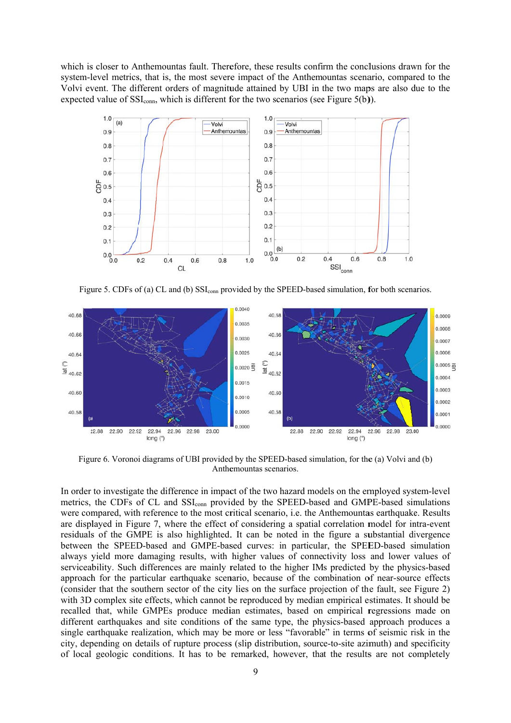which is closer to Anthemountas fault. Therefore, these results confirm the conclusions drawn for the system-level metrics, that is, the most severe impact of the Anthemountas scenario, compared to the Volvi event. The different orders of magnitude attained by UBI in the two maps are also due to the expected value of  $SSI_{conn}$ , which is different for the two scenarios (see Figure 5(b)).



Figure 5. CDFs of (a) CL and (b) SSI<sub>conn</sub> provided by the SPEED-based simulation, for both scenarios.



Figure 6. Voronoi diagrams of UBI provided by the SPEED-based simulation, for the (a) Volvi and (b) Anthemountas scenarios.

In order to investigate the difference in impact of the two hazard models on the employed system-level metrics, the CDFs of CL and SSI<sub>conn</sub> provided by the SPEED-based and GMPE-based simulations were compared, with reference to the most critical scenario, *i.e.* the Anthemountas earthquake. Results are displayed in Figure 7, where the effect of considering a spatial correlation model for intra-event residuals of the GMPE is also highlighted. It can be noted in the figure a substantial divergence between the SPEED-based and GMPE-based curves: in particular, the SPEED-based simulation always yield more damaging results, with higher values of connectivity loss and lower values of serviceability. Such differences are mainly related to the higher IMs predicted by the physics-based approach for the particular earthquake scenario, because of the combination of near-source effects (consider that the southern sector of the city lies on the surface projection of the fault, see Figure 2) with 3D complex site effects, which cannot be reproduced by median empirical estimates. It should be recalled that, while GMPEs produce median estimates, based on empirical regressions made on different earthquakes and site conditions of the same type, the physics-based approach produces a single earthquake realization, which may be more or less "favorable" in terms of seismic risk in the city, depending on details of rupture process (slip distribution, source-to-site azimuth) and specificity of local geologic conditions. It has to be remarked, however, that the results are not completely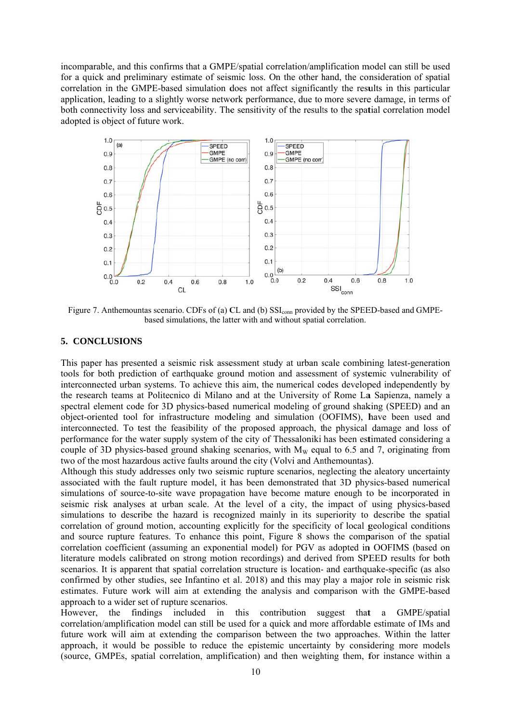incomparable, and this confirms that a GMPE/spatial correlation/amplification model can still be used for a quick and preliminary estimate of seismic loss. On the other hand, the consideration of spatial correlation in the GMPE-based simulation does not affect significantly the results in this particular application, leading to a slightly worse network performance, due to more severe damage, in terms of both connectivity loss and serviceability. The sensitivity of the results to the spatial correlation model adopted is object of future work.



Figure 7. Anthemountas scenario. CDFs of (a) CL and (b) SSI<sub>conn</sub> provided by the SPEED-based and GMPEbased simulations, the latter with and without spatial correlation.

#### 5. CONCLUSIONS

This paper has presented a seismic risk assessment study at urban scale combining latest-generation tools for both prediction of earthquake ground motion and assessment of systemic vulnerability of interconnected urban systems. To achieve this aim, the numerical codes developed independently by the research teams at Politecnico di Milano and at the University of Rome La Sapienza, namely a spectral element code for 3D physics-based numerical modeling of ground shaking (SPEED) and an object-oriented tool for infrastructure modeling and simulation (OOFIMS), have been used and interconnected. To test the feasibility of the proposed approach, the physical damage and loss of performance for the water supply system of the city of Thessaloniki has been estimated considering a couple of 3D physics-based ground shaking scenarios, with  $M_W$  equal to 6.5 and 7, originating from two of the most hazardous active faults around the city (Volvi and Anthemountas).

Although this study addresses only two seismic rupture scenarios, neglecting the aleatory uncertainty associated with the fault rupture model, it has been demonstrated that 3D physics-based numerical simulations of source-to-site wave propagation have become mature enough to be incorporated in seismic risk analyses at urban scale. At the level of a city, the impact of using physics-based simulations to describe the hazard is recognized mainly in its superiority to describe the spatial correlation of ground motion, accounting explicitly for the specificity of local geological conditions and source rupture features. To enhance this point, Figure 8 shows the comparison of the spatial correlation coefficient (assuming an exponential model) for PGV as adopted in OOFIMS (based on literature models calibrated on strong motion recordings) and derived from SPEED results for both scenarios. It is apparent that spatial correlation structure is location- and earthquake-specific (as also confirmed by other studies, see Infantino et al. 2018) and this may play a major role in seismic risk estimates. Future work will aim at extending the analysis and comparison with the GMPE-based approach to a wider set of rupture scenarios.

However. the findings included in this contribution suggest that a GMPE/spatial correlation/amplification model can still be used for a quick and more affordable estimate of IMs and future work will aim at extending the comparison between the two approaches. Within the latter approach, it would be possible to reduce the epistemic uncertainty by considering more models (source, GMPEs, spatial correlation, amplification) and then weighting them, for instance within a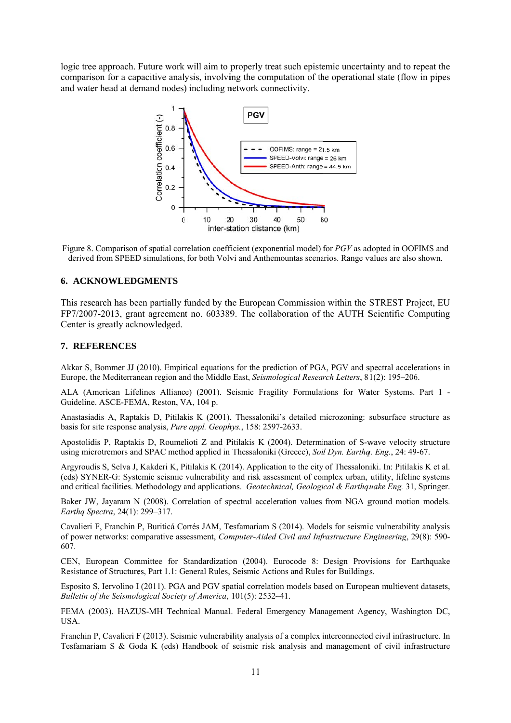logic tree approach. Future work will aim to properly treat such epistemic uncertainty and to repeat the comparison for a capacitive analysis, involving the computation of the operational state (flow in pipes and water head at demand nodes) including network connectivity.



Figure 8. Comparison of spatial correlation coefficient (exponential model) for PGV as adopted in OOFIMS and derived from SPEED simulations, for both Volvi and Anthemountas scenarios. Range values are also shown.

## **6. ACKNOWLEDGMENTS**

This research has been partially funded by the European Commission within the STREST Project, EU FP7/2007-2013, grant agreement no. 603389. The collaboration of the AUTH Scientific Computing Center is greatly acknowledged.

#### 7. REFERENCES

Akkar S, Bommer JJ (2010). Empirical equations for the prediction of PGA, PGV and spectral accelerations in Europe, the Mediterranean region and the Middle East, Seismological Research Letters, 81(2): 195–206.

ALA (American Lifelines Alliance) (2001). Seismic Fragility Formulations for Water Systems. Part 1 -Guideline. ASCE-FEMA, Reston, VA, 104 p.

Anastasiadis A, Raptakis D, Pitilakis K (2001). Thessaloniki's detailed microzoning: subsurface structure as basis for site response analysis, Pure appl. Geophys., 158: 2597-2633.

Apostolidis P, Raptakis D, Roumelioti Z and Pitilakis K (2004). Determination of S-wave velocity structure using microtremors and SPAC method applied in Thessaloniki (Greece), Soil Dyn. Earthq. Eng., 24: 49-67.

Argyroudis S. Selva J. Kakderi K. Pitilakis K (2014). Application to the city of Thessaloniki. In: Pitilakis K et al. (eds) SYNER-G: Systemic seismic vulnerability and risk assessment of complex urban, utility, lifeline systems and critical facilities. Methodology and applications. Geotechnical, Geological & Earthquake Eng. 31, Springer.

Baker JW, Jayaram N (2008). Correlation of spectral acceleration values from NGA ground motion models. Earthq Spectra, 24(1): 299-317.

Cavalieri F, Franchin P, Buriticá Cortés JAM, Tesfamariam S (2014). Models for seismic vulnerability analysis of power networks: comparative assessment, *Computer-Aided Civil and Infrastructure Engineering*, 29(8): 590-607.

CEN, European Committee for Standardization (2004). Eurocode 8: Design Provisions for Earthquake Resistance of Structures, Part 1.1; General Rules, Seismic Actions and Rules for Buildings.

Esposito S, Iervolino I (2011). PGA and PGV spatial correlation models based on European multievent datasets, Bulletin of the Seismological Society of America, 101(5): 2532-41.

FEMA (2003). HAZUS-MH Technical Manual. Federal Emergency Management Agency, Washington DC, USA.

Franchin P, Cavalieri F (2013). Seismic vulnerability analysis of a complex interconnected civil infrastructure. In Tesfamariam S & Goda K (eds) Handbook of seismic risk analysis and management of civil infrastructure